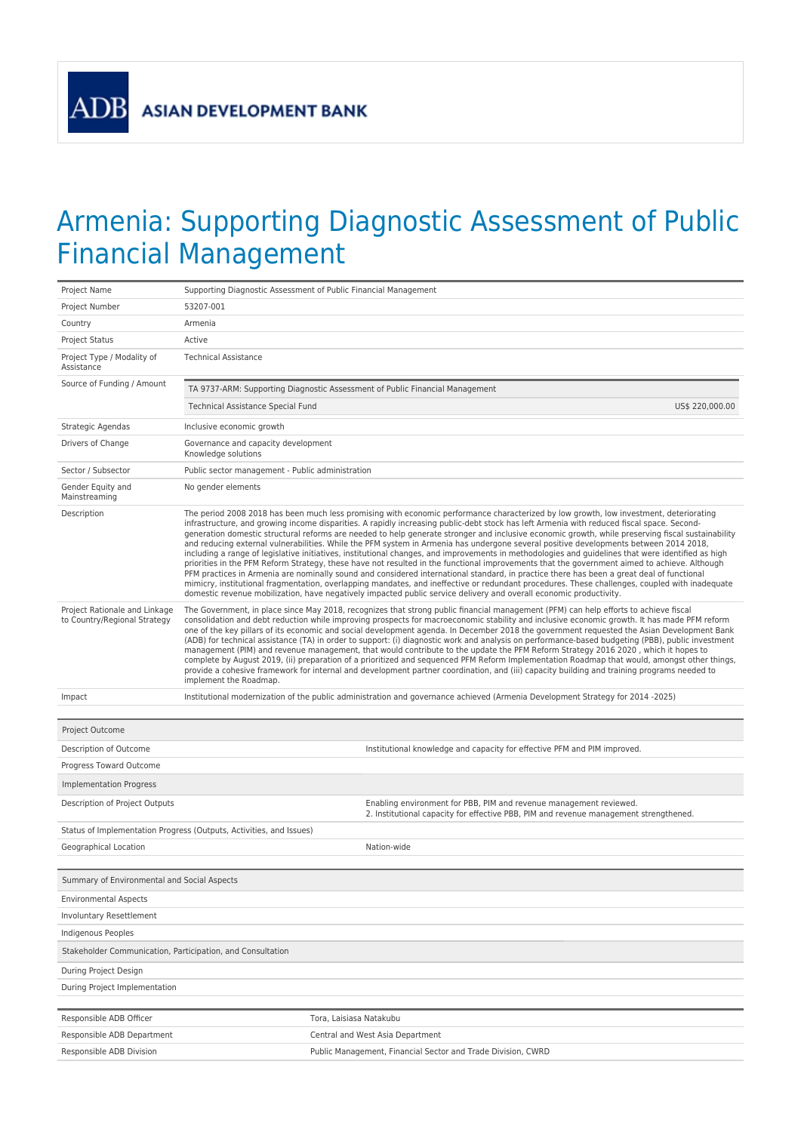**ADB** 

## Armenia: Supporting Diagnostic Assessment of Public Financial Management

| Project Name                                                  | Supporting Diagnostic Assessment of Public Financial Management                                                                                                                                                                                                                                                                                                                                                                                                                                                                                                                                                                                                                                                                                                                                                                                                                                                                                                                                                                                                                                                                                                                                                                                                                                               |  |  |  |  |  |
|---------------------------------------------------------------|---------------------------------------------------------------------------------------------------------------------------------------------------------------------------------------------------------------------------------------------------------------------------------------------------------------------------------------------------------------------------------------------------------------------------------------------------------------------------------------------------------------------------------------------------------------------------------------------------------------------------------------------------------------------------------------------------------------------------------------------------------------------------------------------------------------------------------------------------------------------------------------------------------------------------------------------------------------------------------------------------------------------------------------------------------------------------------------------------------------------------------------------------------------------------------------------------------------------------------------------------------------------------------------------------------------|--|--|--|--|--|
| Project Number                                                | 53207-001                                                                                                                                                                                                                                                                                                                                                                                                                                                                                                                                                                                                                                                                                                                                                                                                                                                                                                                                                                                                                                                                                                                                                                                                                                                                                                     |  |  |  |  |  |
| Country                                                       | Armenia                                                                                                                                                                                                                                                                                                                                                                                                                                                                                                                                                                                                                                                                                                                                                                                                                                                                                                                                                                                                                                                                                                                                                                                                                                                                                                       |  |  |  |  |  |
| Project Status                                                | Active                                                                                                                                                                                                                                                                                                                                                                                                                                                                                                                                                                                                                                                                                                                                                                                                                                                                                                                                                                                                                                                                                                                                                                                                                                                                                                        |  |  |  |  |  |
| Project Type / Modality of<br>Assistance                      | <b>Technical Assistance</b>                                                                                                                                                                                                                                                                                                                                                                                                                                                                                                                                                                                                                                                                                                                                                                                                                                                                                                                                                                                                                                                                                                                                                                                                                                                                                   |  |  |  |  |  |
| Source of Funding / Amount                                    | TA 9737-ARM: Supporting Diagnostic Assessment of Public Financial Management                                                                                                                                                                                                                                                                                                                                                                                                                                                                                                                                                                                                                                                                                                                                                                                                                                                                                                                                                                                                                                                                                                                                                                                                                                  |  |  |  |  |  |
|                                                               | Technical Assistance Special Fund<br>US\$ 220,000.00                                                                                                                                                                                                                                                                                                                                                                                                                                                                                                                                                                                                                                                                                                                                                                                                                                                                                                                                                                                                                                                                                                                                                                                                                                                          |  |  |  |  |  |
| Strategic Agendas                                             | Inclusive economic growth                                                                                                                                                                                                                                                                                                                                                                                                                                                                                                                                                                                                                                                                                                                                                                                                                                                                                                                                                                                                                                                                                                                                                                                                                                                                                     |  |  |  |  |  |
| Drivers of Change                                             | Governance and capacity development<br>Knowledge solutions                                                                                                                                                                                                                                                                                                                                                                                                                                                                                                                                                                                                                                                                                                                                                                                                                                                                                                                                                                                                                                                                                                                                                                                                                                                    |  |  |  |  |  |
| Sector / Subsector                                            | Public sector management - Public administration                                                                                                                                                                                                                                                                                                                                                                                                                                                                                                                                                                                                                                                                                                                                                                                                                                                                                                                                                                                                                                                                                                                                                                                                                                                              |  |  |  |  |  |
| Gender Equity and<br>Mainstreaming                            | No gender elements                                                                                                                                                                                                                                                                                                                                                                                                                                                                                                                                                                                                                                                                                                                                                                                                                                                                                                                                                                                                                                                                                                                                                                                                                                                                                            |  |  |  |  |  |
| Description                                                   | The period 2008 2018 has been much less promising with economic performance characterized by low growth, low investment, deteriorating<br>infrastructure, and growing income disparities. A rapidly increasing public-debt stock has left Armenia with reduced fiscal space. Second-<br>generation domestic structural reforms are needed to help generate stronger and inclusive economic growth, while preserving fiscal sustainability<br>and reducing external vulnerabilities. While the PFM system in Armenia has undergone several positive developments between 2014 2018,<br>including a range of legislative initiatives, institutional changes, and improvements in methodologies and guidelines that were identified as high<br>priorities in the PFM Reform Strategy, these have not resulted in the functional improvements that the government aimed to achieve. Although<br>PFM practices in Armenia are nominally sound and considered international standard, in practice there has been a great deal of functional<br>mimicry, institutional fragmentation, overlapping mandates, and ineffective or redundant procedures. These challenges, coupled with inadequate<br>domestic revenue mobilization, have negatively impacted public service delivery and overall economic productivity. |  |  |  |  |  |
| Project Rationale and Linkage<br>to Country/Regional Strategy | The Government, in place since May 2018, recognizes that strong public financial management (PFM) can help efforts to achieve fiscal<br>consolidation and debt reduction while improving prospects for macroeconomic stability and inclusive economic growth. It has made PFM reform<br>one of the key pillars of its economic and social development agenda. In December 2018 the government requested the Asian Development Bank<br>(ADB) for technical assistance (TA) in order to support: (i) diagnostic work and analysis on performance-based budgeting (PBB), public investment<br>management (PIM) and revenue management, that would contribute to the update the PFM Reform Strategy 2016 2020, which it hopes to<br>complete by August 2019, (ii) preparation of a prioritized and sequenced PFM Reform Implementation Roadmap that would, amongst other things,<br>provide a cohesive framework for internal and development partner coordination, and (iii) capacity building and training programs needed to<br>implement the Roadmap.                                                                                                                                                                                                                                                         |  |  |  |  |  |
| Impact                                                        | Institutional modernization of the public administration and governance achieved (Armenia Development Strategy for 2014 -2025)                                                                                                                                                                                                                                                                                                                                                                                                                                                                                                                                                                                                                                                                                                                                                                                                                                                                                                                                                                                                                                                                                                                                                                                |  |  |  |  |  |
| Project Outcome                                               |                                                                                                                                                                                                                                                                                                                                                                                                                                                                                                                                                                                                                                                                                                                                                                                                                                                                                                                                                                                                                                                                                                                                                                                                                                                                                                               |  |  |  |  |  |
| Description of Outcome                                        | Institutional knowledge and capacity for effective PFM and PIM improved.                                                                                                                                                                                                                                                                                                                                                                                                                                                                                                                                                                                                                                                                                                                                                                                                                                                                                                                                                                                                                                                                                                                                                                                                                                      |  |  |  |  |  |
| Progress Toward Outcome                                       |                                                                                                                                                                                                                                                                                                                                                                                                                                                                                                                                                                                                                                                                                                                                                                                                                                                                                                                                                                                                                                                                                                                                                                                                                                                                                                               |  |  |  |  |  |
| <b>Implementation Progress</b>                                |                                                                                                                                                                                                                                                                                                                                                                                                                                                                                                                                                                                                                                                                                                                                                                                                                                                                                                                                                                                                                                                                                                                                                                                                                                                                                                               |  |  |  |  |  |
| Description of Project Outputs                                | Enabling environment for PBB, PIM and revenue management reviewed.<br>2. Institutional capacity for effective PBB, PIM and revenue management strengthened.                                                                                                                                                                                                                                                                                                                                                                                                                                                                                                                                                                                                                                                                                                                                                                                                                                                                                                                                                                                                                                                                                                                                                   |  |  |  |  |  |
|                                                               | Status of Implementation Progress (Outputs, Activities, and Issues)                                                                                                                                                                                                                                                                                                                                                                                                                                                                                                                                                                                                                                                                                                                                                                                                                                                                                                                                                                                                                                                                                                                                                                                                                                           |  |  |  |  |  |
| Geographical Location                                         | Nation-wide                                                                                                                                                                                                                                                                                                                                                                                                                                                                                                                                                                                                                                                                                                                                                                                                                                                                                                                                                                                                                                                                                                                                                                                                                                                                                                   |  |  |  |  |  |
| Summary of Environmental and Social Aspects                   |                                                                                                                                                                                                                                                                                                                                                                                                                                                                                                                                                                                                                                                                                                                                                                                                                                                                                                                                                                                                                                                                                                                                                                                                                                                                                                               |  |  |  |  |  |
| <b>Environmental Aspects</b>                                  |                                                                                                                                                                                                                                                                                                                                                                                                                                                                                                                                                                                                                                                                                                                                                                                                                                                                                                                                                                                                                                                                                                                                                                                                                                                                                                               |  |  |  |  |  |
| Involuntary Resettlement                                      |                                                                                                                                                                                                                                                                                                                                                                                                                                                                                                                                                                                                                                                                                                                                                                                                                                                                                                                                                                                                                                                                                                                                                                                                                                                                                                               |  |  |  |  |  |
|                                                               |                                                                                                                                                                                                                                                                                                                                                                                                                                                                                                                                                                                                                                                                                                                                                                                                                                                                                                                                                                                                                                                                                                                                                                                                                                                                                                               |  |  |  |  |  |
|                                                               |                                                                                                                                                                                                                                                                                                                                                                                                                                                                                                                                                                                                                                                                                                                                                                                                                                                                                                                                                                                                                                                                                                                                                                                                                                                                                                               |  |  |  |  |  |
| Indigenous Peoples                                            |                                                                                                                                                                                                                                                                                                                                                                                                                                                                                                                                                                                                                                                                                                                                                                                                                                                                                                                                                                                                                                                                                                                                                                                                                                                                                                               |  |  |  |  |  |
| Stakeholder Communication, Participation, and Consultation    |                                                                                                                                                                                                                                                                                                                                                                                                                                                                                                                                                                                                                                                                                                                                                                                                                                                                                                                                                                                                                                                                                                                                                                                                                                                                                                               |  |  |  |  |  |
| During Project Design<br>During Project Implementation        |                                                                                                                                                                                                                                                                                                                                                                                                                                                                                                                                                                                                                                                                                                                                                                                                                                                                                                                                                                                                                                                                                                                                                                                                                                                                                                               |  |  |  |  |  |
|                                                               |                                                                                                                                                                                                                                                                                                                                                                                                                                                                                                                                                                                                                                                                                                                                                                                                                                                                                                                                                                                                                                                                                                                                                                                                                                                                                                               |  |  |  |  |  |
| Responsible ADB Officer                                       | Tora, Laisiasa Natakubu                                                                                                                                                                                                                                                                                                                                                                                                                                                                                                                                                                                                                                                                                                                                                                                                                                                                                                                                                                                                                                                                                                                                                                                                                                                                                       |  |  |  |  |  |
| Responsible ADB Department                                    | Central and West Asia Department                                                                                                                                                                                                                                                                                                                                                                                                                                                                                                                                                                                                                                                                                                                                                                                                                                                                                                                                                                                                                                                                                                                                                                                                                                                                              |  |  |  |  |  |